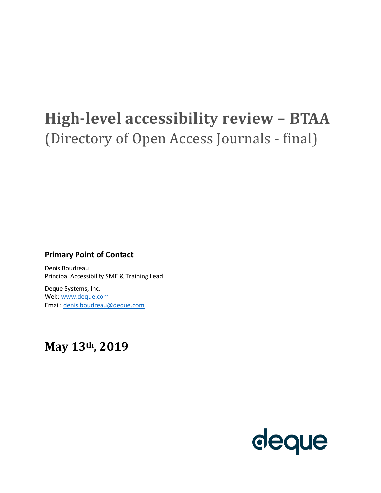# **High-level accessibility review – BTAA** (Directory of Open Access Journals - final)

# **Primary Point of Contact**

Denis Boudreau Principal Accessibility SME & Training Lead

Deque Systems, Inc. Web: [www.deque.com](http://www.deque.com/) Email: [denis.boudreau@deque.com](mailto:denis.boudreau@deque.com)

# **May 13th, 2019**

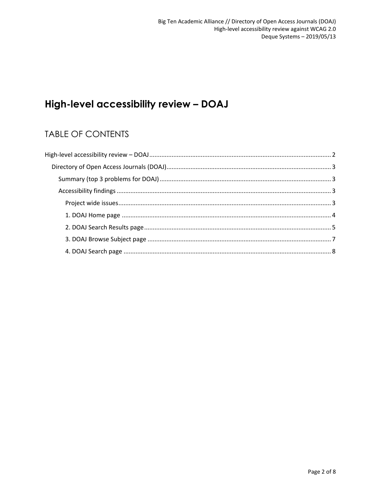# High-level accessibility review - DOAJ

# **TABLE OF CONTENTS**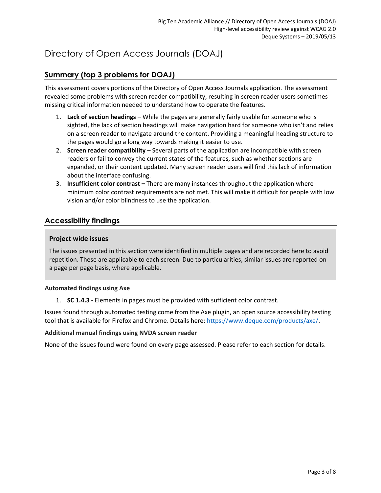# Directory of Open Access Journals (DOAJ)

# **Summary (top 3 problems for DOAJ)**

This assessment covers portions of the Directory of Open Access Journals application. The assessment revealed some problems with screen reader compatibility, resulting in screen reader users sometimes missing critical information needed to understand how to operate the features.

- 1. **Lack of section headings –** While the pages are generally fairly usable for someone who is sighted, the lack of section headings will make navigation hard for someone who isn't and relies on a screen reader to navigate around the content. Providing a meaningful heading structure to the pages would go a long way towards making it easier to use.
- 2. **Screen reader compatibility** Several parts of the application are incompatible with screen readers or fail to convey the current states of the features, such as whether sections are expanded, or their content updated. Many screen reader users will find this lack of information about the interface confusing.
- 3. **Insufficient color contrast –** There are many instances throughout the application where minimum color contrast requirements are not met. This will make it difficult for people with low vision and/or color blindness to use the application.

# **Accessibility findings**

### **Project wide issues**

The issues presented in this section were identified in multiple pages and are recorded here to avoid repetition. These are applicable to each screen. Due to particularities, similar issues are reported on a page per page basis, where applicable.

#### **Automated findings using Axe**

1. **SC 1.4.3 -** Elements in pages must be provided with sufficient color contrast.

Issues found through automated testing come from the Axe plugin, an open source accessibility testing tool that is available for Firefox and Chrome. Details here[: https://www.deque.com/products/axe/.](https://www.deque.com/products/axe/)

#### **Additional manual findings using NVDA screen reader**

None of the issues found were found on every page assessed. Please refer to each section for details.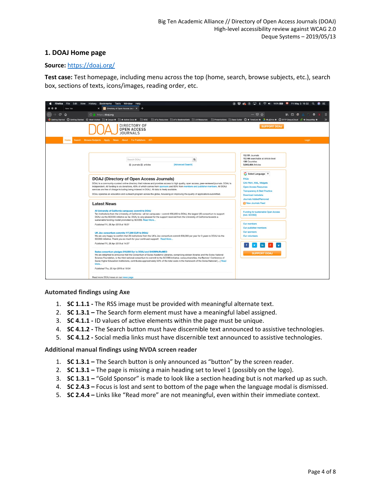## **1. DOAJ Home page**

#### **Source:** https://doaj.org/

**Test case:** Test homepage, including menu across the top (home, search, browse subjects, etc.), search box, sections of texts, icons/images, reading order, etc.

|                | Firefox File Edit View History Bookmarks Tools Window Help                                                                                                                                                                                                                      | <b>④ 梦 © ① 见 术 令 (I) 100% ⊠ □ FriMay 3 16 02 Q ● 三</b> |
|----------------|---------------------------------------------------------------------------------------------------------------------------------------------------------------------------------------------------------------------------------------------------------------------------------|--------------------------------------------------------|
| New Tab<br>. . | X D Directory of Open Access Journ X +                                                                                                                                                                                                                                          |                                                        |
| $C$ $\hat{a}$  | <b>D</b> https://doaj.org                                                                                                                                                                                                                                                       | … 2 ☆<br><b>IND @ A &amp; @ # E</b>                    |
|                | <b>Sotting Started © Getting Started © Most Visited ■★Deque ★ ■ ★ Active Docs ★ ■ W3C ■ #1ly Resources ■ #1ly Resources ■ Presentations ■ Bass Guitar ● ★ TimeCard ★ ▲ ★ @ SFTP DequeCloud d ★DequeWay ★</b>                                                                    | $\gg$                                                  |
|                | DIRECTORY OF                                                                                                                                                                                                                                                                    | <b>SUPPORT DOAJ</b>                                    |
|                | <b>OPEN ACCESS</b><br><b>JOURNALS</b>                                                                                                                                                                                                                                           |                                                        |
|                |                                                                                                                                                                                                                                                                                 |                                                        |
| Home           | Search Browse Subjects Apply News About For Publishers API                                                                                                                                                                                                                      | Login                                                  |
|                |                                                                                                                                                                                                                                                                                 |                                                        |
|                |                                                                                                                                                                                                                                                                                 |                                                        |
|                | $\alpha$<br>Search DOAJ                                                                                                                                                                                                                                                         | 13,131 Journals<br>10,144 searchable at Article level  |
|                | [Advanced Search]<br>g journals g articles                                                                                                                                                                                                                                      | 130 Countries<br>3,945,464 Articles                    |
|                |                                                                                                                                                                                                                                                                                 |                                                        |
|                |                                                                                                                                                                                                                                                                                 | G Select Language                                      |
|                | <b>DOAJ (Directory of Open Access Journals)</b>                                                                                                                                                                                                                                 | <b>FAQs</b>                                            |
|                | DOAJ is a community-curated online directory that indexes and provides access to high quality, open access, peer-reviewed journals. DOAJ is<br>independent. All funding is via donations, 40% of which comes from sponsors and 60% from members and publisher members. All DOAJ | OAI-PMH, XML, Widgets<br><b>Open Access Resources</b>  |
|                | services are free of charge including being indexed in DOAJ. All data is freely available.                                                                                                                                                                                      | <b>Transparency &amp; Best Practice</b>                |
|                | DOAJ operates an education and outreach program across the globe, focussing on improving the quality of applications submitted.                                                                                                                                                 | <b>Download metadata</b>                               |
|                | <b>Latest News</b>                                                                                                                                                                                                                                                              | Journals Added/Removed<br>New Journals Feed            |
|                |                                                                                                                                                                                                                                                                                 |                                                        |
|                | All University of California campuses commit to DOAJ<br>Ten institutions from the University of California - all ten campuses - commit €90,000 to DOAJ, the largest US consortium to support                                                                                    | Funding for sustainable Open Access                    |
|                | DOAJ via the SCOSS initiative so far. DOAJ is very pleased for the support received from the University of California towards a<br>sustainable funding model promoted by SCOSS. Read More                                                                                       | (incl. SCOSS)                                          |
|                | Published Fri, 26 Apr 2019 at 16:51                                                                                                                                                                                                                                             | Our members                                            |
|                |                                                                                                                                                                                                                                                                                 | Our publisher members                                  |
|                | UK Jisc consortium commits 117,000 EUR to DOAJ<br>We are very happy to confirm that 29 institutions from the UK's Jisc consortium commit €39,000 per year for 3 years to DOAJ via the                                                                                           | Our sponsors<br><b>Our volunteers</b>                  |
|                | SCOSS initiative. Thank you so much for your continued support! Read More                                                                                                                                                                                                       |                                                        |
|                | Published Fri, 26 Apr 2019 at 14:57                                                                                                                                                                                                                                             |                                                        |
|                | Swiss consortium pledges 216,000 Eur to DOAJ and SHERPA/RoMEO                                                                                                                                                                                                                   |                                                        |
|                | We are delighted to announce that the Consortium of Swiss Academic Libraries, comprising sixteen libraries and the Swiss National<br>Science Foundation, is the third national consortium to commit to the SCOSS initiative. swissuniversities, the Rectors' Conference of      | <b>SUPPORT DOAJ</b>                                    |
|                | Swiss Higher Education Institutions, contributes approximately 50% of the total costs in the framework of the Swiss National [] Read                                                                                                                                            |                                                        |
|                | More<br>Published Thu, 25 Apr 2019 at 10:34                                                                                                                                                                                                                                     |                                                        |
|                |                                                                                                                                                                                                                                                                                 |                                                        |
|                | Read more DOAJ news on our news page                                                                                                                                                                                                                                            |                                                        |

#### **Automated findings using Axe**

- 1. **SC 1.1.1 -** The RSS image must be provided with meaningful alternate text.
- 2. **SC 1.3.1 –** The Search form element must have a meaningful label assigned.
- 3. **SC 4.1.1 -** ID values of active elements within the page must be unique.
- 4. **SC 4.1.2 -** The Search button must have discernible text announced to assistive technologies.
- 5. **SC 4.1.2 -** Social media links must have discernible text announced to assistive technologies.

- 1. **SC 1.3.1 –** The Search button is only announced as "button" by the screen reader.
- 2. **SC 1.3.1 –** The page is missing a main heading set to level 1 (possibly on the logo).
- 3. **SC 1.3.1 –** "Gold Sponsor" is made to look like a section heading but is not marked up as such.
- 4. **SC 2.4.3 –** Focus is lost and sent to bottom of the page when the language modal is dismissed.
- 5. **SC 2.4.4 –** Links like "Read more" are not meaningful, even within their immediate context.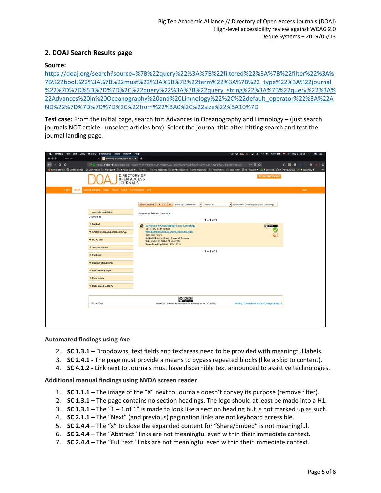## **2. DOAJ Search Results page**

#### **Source:**

[https://doaj.org/search?source=%7B%22query%22%3A%7B%22filtered%22%3A%7B%22filter%22%3A%](https://doaj.org/search?source=%7B%22query%22%3A%7B%22filtered%22%3A%7B%22filter%22%3A%7B%22bool%22%3A%7B%22must%22%3A%5B%7B%22term%22%3A%7B%22_type%22%3A%22journal%22%7D%7D%5D%7D%7D%2C%22query%22%3A%7B%22query_string%22%3A%7B%22query%22%3A%22Advances%20in%20Oceanography%20and%20Limnology%22%2C%22default_operator%22%3A%22AND%22%7D%7D%7D%7D%2C%22from%22%3A0%2C%22size%22%3A10%7D) [7B%22bool%22%3A%7B%22must%22%3A%5B%7B%22term%22%3A%7B%22\\_type%22%3A%22journal](https://doaj.org/search?source=%7B%22query%22%3A%7B%22filtered%22%3A%7B%22filter%22%3A%7B%22bool%22%3A%7B%22must%22%3A%5B%7B%22term%22%3A%7B%22_type%22%3A%22journal%22%7D%7D%5D%7D%7D%2C%22query%22%3A%7B%22query_string%22%3A%7B%22query%22%3A%22Advances%20in%20Oceanography%20and%20Limnology%22%2C%22default_operator%22%3A%22AND%22%7D%7D%7D%7D%2C%22from%22%3A0%2C%22size%22%3A10%7D) [%22%7D%7D%5D%7D%7D%2C%22query%22%3A%7B%22query\\_string%22%3A%7B%22query%22%3A%](https://doaj.org/search?source=%7B%22query%22%3A%7B%22filtered%22%3A%7B%22filter%22%3A%7B%22bool%22%3A%7B%22must%22%3A%5B%7B%22term%22%3A%7B%22_type%22%3A%22journal%22%7D%7D%5D%7D%7D%2C%22query%22%3A%7B%22query_string%22%3A%7B%22query%22%3A%22Advances%20in%20Oceanography%20and%20Limnology%22%2C%22default_operator%22%3A%22AND%22%7D%7D%7D%7D%2C%22from%22%3A0%2C%22size%22%3A10%7D) [22Advances%20in%20Oceanography%20and%20Limnology%22%2C%22default\\_operator%22%3A%22A](https://doaj.org/search?source=%7B%22query%22%3A%7B%22filtered%22%3A%7B%22filter%22%3A%7B%22bool%22%3A%7B%22must%22%3A%5B%7B%22term%22%3A%7B%22_type%22%3A%22journal%22%7D%7D%5D%7D%7D%2C%22query%22%3A%7B%22query_string%22%3A%7B%22query%22%3A%22Advances%20in%20Oceanography%20and%20Limnology%22%2C%22default_operator%22%3A%22AND%22%7D%7D%7D%7D%2C%22from%22%3A0%2C%22size%22%3A10%7D) [ND%22%7D%7D%7D%7D%2C%22from%22%3A0%2C%22size%22%3A10%7D](https://doaj.org/search?source=%7B%22query%22%3A%7B%22filtered%22%3A%7B%22filter%22%3A%7B%22bool%22%3A%7B%22must%22%3A%5B%7B%22term%22%3A%7B%22_type%22%3A%22journal%22%7D%7D%5D%7D%7D%2C%22query%22%3A%7B%22query_string%22%3A%7B%22query%22%3A%22Advances%20in%20Oceanography%20and%20Limnology%22%2C%22default_operator%22%3A%22AND%22%7D%7D%7D%7D%2C%22from%22%3A0%2C%22size%22%3A10%7D)

**Test case:** From the initial page, search for: Advances in Oceanography and Limnology – (just search journals NOT article - unselect articles box). Select the journal title after hitting search and test the journal landing page.

| о            | Firefox File Edit View History Bookmarks Tools Window Help      |                                                                                                                                                                                                                                                                                                                                                                          |                                                 |                                         |
|--------------|-----------------------------------------------------------------|--------------------------------------------------------------------------------------------------------------------------------------------------------------------------------------------------------------------------------------------------------------------------------------------------------------------------------------------------------------------------|-------------------------------------------------|-----------------------------------------|
| New Tab      | D Directory of Open Access Journ X +<br>$\times$                |                                                                                                                                                                                                                                                                                                                                                                          |                                                 |                                         |
| $C$ $\Omega$ |                                                                 | O & https://doaj.org/search?source={"query"%3A{"filtered"%3A{"filter"%3A{"bool"%3A{"must"%3A{"erm"%3A{"_type"%3A"]ournal"}}}}}%2C<br><b>5 Getting Started © Getting Started ☆ Most Visited □ ★ Deque ★ □ ★ Active Docs ★ □ and WSC · □ antly Resources □ attly Bookmarkiets □ UX Resources · En Presentations □ Bass Guitar ● ★ TimeCard ★ △ ★ pDrive ★ ● SFTP Deque</b> | … ◎ ☆                                           | <b>IN ED 2 6 *</b><br>$\equiv$<br>$\gg$ |
|              | DIRECTORY OF<br><b>OPEN ACCESS</b><br><b>JOURNALS</b>           |                                                                                                                                                                                                                                                                                                                                                                          | <b>SUPPORT DOAJ</b>                             |                                         |
|              | Home Search Browse Subjects Apply News About For Publishers API |                                                                                                                                                                                                                                                                                                                                                                          |                                                 | Login                                   |
|              |                                                                 | <b>x</b> 10 +<br>$\vert \cdot \vert$<br>share   embed<br>order by  relevance<br>search all                                                                                                                                                                                                                                                                               | • Advances in Oceanography and Limnology        |                                         |
|              | - Journals vs Articles<br>Journals X                            | Journals vs Articles: Journals x                                                                                                                                                                                                                                                                                                                                         |                                                 |                                         |
|              |                                                                 | $1 - 1$ of 1                                                                                                                                                                                                                                                                                                                                                             |                                                 |                                         |
|              | $+$ Subject                                                     | Advances in Oceanography and Limnology                                                                                                                                                                                                                                                                                                                                   | C BY-NC                                         |                                         |
|              | + Article processing charges (APCs)                             | ISSN: 1947-573X (Online)<br>http://pagepressjournals.org/index.php/aiol/index<br>Blind peer review                                                                                                                                                                                                                                                                       |                                                 |                                         |
|              | + DOAJ Seal                                                     | Subject: Science: Biology (General): Ecology<br>Date added to DOAJ: 24 May 2017<br>Record Last Updated: 15 Feb 2019                                                                                                                                                                                                                                                      |                                                 |                                         |
|              | + Journal license                                               | $1 - 1$ of 1                                                                                                                                                                                                                                                                                                                                                             |                                                 |                                         |
|              | + Publisher                                                     |                                                                                                                                                                                                                                                                                                                                                                          |                                                 |                                         |
|              | + Country of publisher                                          |                                                                                                                                                                                                                                                                                                                                                                          |                                                 |                                         |
|              | + Full Text language                                            |                                                                                                                                                                                                                                                                                                                                                                          |                                                 |                                         |
|              | + Peer review                                                   |                                                                                                                                                                                                                                                                                                                                                                          |                                                 |                                         |
|              | + Date added to DOAJ                                            |                                                                                                                                                                                                                                                                                                                                                                          |                                                 |                                         |
|              | $\bigcirc$ $\bigcirc$ $\bigcirc$                                |                                                                                                                                                                                                                                                                                                                                                                          |                                                 |                                         |
|              | C 2019 DOAJ.                                                    | The DOAJ site and its metadata are licensed under CC BY-SA                                                                                                                                                                                                                                                                                                               | Privacy / Contact us / IS4OA / Cottage Labs LLP |                                         |
|              |                                                                 |                                                                                                                                                                                                                                                                                                                                                                          |                                                 |                                         |

#### **Automated findings using Axe**

- 2. **SC 1.3.1 –** Dropdowns, text fields and textareas need to be provided with meaningful labels.
- 3. **SC 2.4.1 -** The page must provide a means to bypass repeated blocks (like a skip to content).
- 4. **SC 4.1.2 -** Link next to Journals must have discernible text announced to assistive technologies.

- 1. **SC 1.1.1 –** The image of the "X" next to Journals doesn't convey its purpose (remove filter).
- 2. **SC 1.3.1 –** The page contains no section headings. The logo should at least be made into a H1.
- 3. **SC 1.3.1 –** The "1 1 of 1" is made to look like a section heading but is not marked up as such.
- 4. **SC 2.1.1 –** The "Next" (and previous) pagination links are not keyboard accessible.
- 5. **SC 2.4.4 –** The "x" to close the expanded content for "Share/Embed" is not meaningful.
- 6. **SC 2.4.4 –** The "Abstract" links are not meaningful even within their immediate context.
- 7. **SC 2.4.4 –** The "Full text" links are not meaningful even within their immediate context.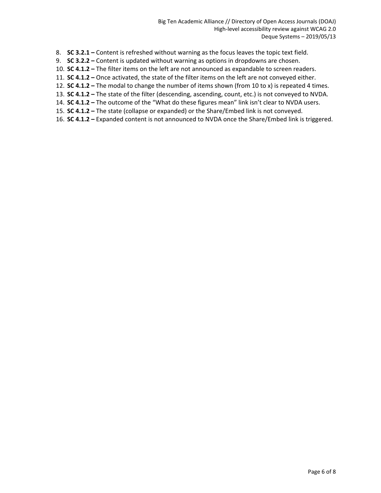- 8. **SC 3.2.1 –** Content is refreshed without warning as the focus leaves the topic text field.
- 9. **SC 3.2.2 –** Content is updated without warning as options in dropdowns are chosen.
- 10. **SC 4.1.2 –** The filter items on the left are not announced as expandable to screen readers.
- 11. **SC 4.1.2 –** Once activated, the state of the filter items on the left are not conveyed either.
- 12. **SC 4.1.2 –** The modal to change the number of items shown (from 10 to x) is repeated 4 times.
- 13. **SC 4.1.2 –** The state of the filter (descending, ascending, count, etc.) is not conveyed to NVDA.
- 14. **SC 4.1.2 –** The outcome of the "What do these figures mean" link isn't clear to NVDA users.
- 15. **SC 4.1.2 –** The state (collapse or expanded) or the Share/Embed link is not conveyed.
- 16. **SC 4.1.2 –** Expanded content is not announced to NVDA once the Share/Embed link is triggered.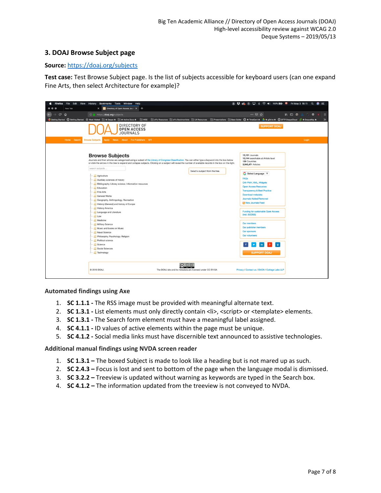### **3. DOAJ Browse Subject page**

#### **Source:** <https://doaj.org/subjects>

**Test case:** Test Browse Subject page. Is the list of subjects accessible for keyboard users (can one expand Fine Arts, then select Architecture for example)?

|                                                | Firefox File Edit View History Bookmarks Tools Window Help                                                                                                                                                                                                                                                                                                                                                                                                                                                                                    |                                                                                                                                                                                                                                                                                                                                                          | <b>A # @ ⊕ Q * © 4</b> ) 100% <b>69 □</b> FriMay 3 16 11 Q ● IE                                                                                                                                                                                                                                                                                                                                                                                                       |                      |
|------------------------------------------------|-----------------------------------------------------------------------------------------------------------------------------------------------------------------------------------------------------------------------------------------------------------------------------------------------------------------------------------------------------------------------------------------------------------------------------------------------------------------------------------------------------------------------------------------------|----------------------------------------------------------------------------------------------------------------------------------------------------------------------------------------------------------------------------------------------------------------------------------------------------------------------------------------------------------|-----------------------------------------------------------------------------------------------------------------------------------------------------------------------------------------------------------------------------------------------------------------------------------------------------------------------------------------------------------------------------------------------------------------------------------------------------------------------|----------------------|
| $\bullet\bullet\bullet$<br>New Tab             | $\times$ D Directory of Open Access Journ $\times$ +                                                                                                                                                                                                                                                                                                                                                                                                                                                                                          |                                                                                                                                                                                                                                                                                                                                                          |                                                                                                                                                                                                                                                                                                                                                                                                                                                                       |                      |
| $\leftarrow$<br>$C$ $\hat{w}$<br>$\rightarrow$ | <b>O https://doaj.org/subjects</b>                                                                                                                                                                                                                                                                                                                                                                                                                                                                                                            |                                                                                                                                                                                                                                                                                                                                                          | … ◎ ☆                                                                                                                                                                                                                                                                                                                                                                                                                                                                 | INDOACOB<br>$\equiv$ |
|                                                |                                                                                                                                                                                                                                                                                                                                                                                                                                                                                                                                               | O Getting Started © Getting Started ☆ Most Visited □★Deque ★ □★Active Docs ★ □W3C □ally Resources □ally Bookmankiets □UX Resources □ Presentations □ Bass Guitar ①★TimeCard ★ ▲★gDrive ★ ① SFTP DequeCoud d ★DequeWay ★                                                                                                                                  |                                                                                                                                                                                                                                                                                                                                                                                                                                                                       | $\gg$                |
| Home Search                                    | DIRECTORY OF<br><b>OPEN ACCESS</b><br><b>JOURNALS</b><br>Apply News About For Publishers API<br><b>Browse Subjects</b>                                                                                                                                                                                                                                                                                                                                                                                                                        |                                                                                                                                                                                                                                                                                                                                                          | <b>SUPPORT DOAJ</b>                                                                                                                                                                                                                                                                                                                                                                                                                                                   | Login                |
|                                                | <b>Browse Subjects</b><br>search subjects<br>Agriculture<br>- Auxiliary sciences of history<br>Bibliography. Library science. Information resources<br>Education<br>Fine Arts<br>- General Works<br>Geography. Anthropology. Recreation<br>History (General) and history of Europe<br>- History America<br>- Language and Literature<br>$-\Box$ Law<br>Medicine<br>- Military Science<br>- Music and books on Music<br>Naval Science<br>- Philosophy. Psychology. Religion<br>- Political science<br>Science<br>Social Sciences<br>Technology | Journals and their articles are categorised using a subset of the Library of Congress Classification. You can either type a keyword into the box below<br>or click the arrows in the tree to expand and collapse subjects. Clicking on a subject will reveal the number of available records in the box on the right.<br>Select a subject from the tree. | 13,131 Journals<br>10,144 searchable at Article level<br>130 Countries<br>3,945,471 Articles<br>G Select Language   $\nabla$<br>FAQs<br>OAI-PMH, XML, Widgets<br>Open Access Resources<br><b>Transparency &amp; Best Practice</b><br>Download metadata<br>Journals Added/Removed<br>New Journals Feed<br>Funding for sustainable Open Access<br>(incl. SCOSS)<br>Our members<br>Our publisher members<br>Our sponsors<br><b>Our volunteers</b><br><b>SUPPORT DOAJ</b> |                      |
|                                                | C 2019 DOAJ.                                                                                                                                                                                                                                                                                                                                                                                                                                                                                                                                  | $\circledcirc$<br>The DOAJ site and its metadata are licensed under CC BY-SA                                                                                                                                                                                                                                                                             | Privacy / Contact us / IS4OA / Cottage Labs LLP                                                                                                                                                                                                                                                                                                                                                                                                                       |                      |

#### **Automated findings using Axe**

- 1. **SC 1.1.1 -** The RSS image must be provided with meaningful alternate text.
- 2. **SC 1.3.1** List elements must only directly contain <li>, <script> or <template> elements.
- 3. **SC 1.3.1 -** The Search form element must have a meaningful label assigned.
- 4. **SC 4.1.1 -** ID values of active elements within the page must be unique.
- 5. **SC 4.1.2 -** Social media links must have discernible text announced to assistive technologies.

- 1. **SC 1.3.1 –** The boxed Subject is made to look like a heading but is not mared up as such.
- 2. **SC 2.4.3 –** Focus is lost and sent to bottom of the page when the language modal is dismissed.
- 3. **SC 3.2.2 –** Treeview is updated without warning as keywords are typed in the Search box.
- 4. **SC 4.1.2 –** The information updated from the treeview is not conveyed to NVDA.